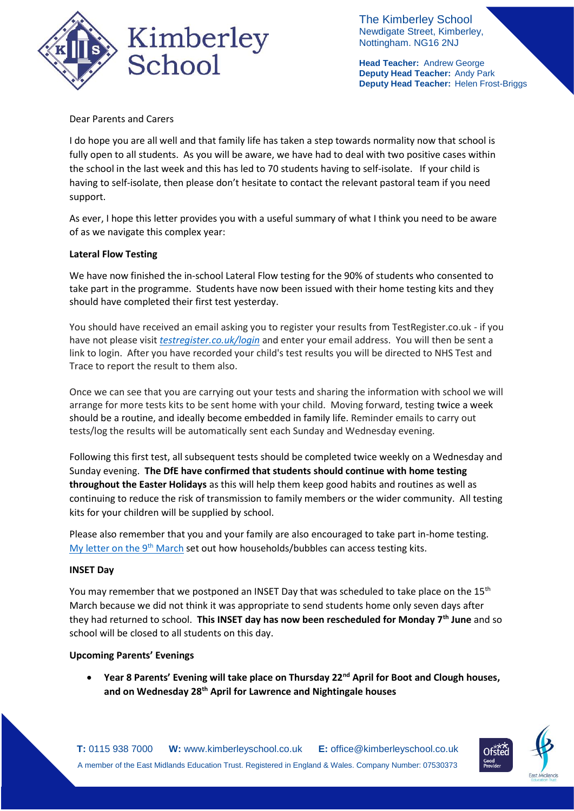

The Kimberley School Newdigate Street, Kimberley, Nottingham. NG16 2NJ

**Head Teacher:** Andrew George **Deputy Head Teacher:** Andy Park **Deputy Head Teacher:** Helen Frost-Briggs

Dear Parents and Carers

I do hope you are all well and that family life has taken a step towards normality now that school is fully open to all students. As you will be aware, we have had to deal with two positive cases within the school in the last week and this has led to 70 students having to self-isolate. If your child is having to self-isolate, then please don't hesitate to contact the relevant pastoral team if you need support.

As ever, I hope this letter provides you with a useful summary of what I think you need to be aware of as we navigate this complex year:

## **Lateral Flow Testing**

We have now finished the in-school Lateral Flow testing for the 90% of students who consented to take part in the programme. Students have now been issued with their home testing kits and they should have completed their first test yesterday.

You should have received an email asking you to register your results from TestRegister.co.uk - if you have not please visit *[testregister.co.uk/login](http://testregister.co.uk/login)* and enter your email address. You will then be sent a link to login. After you have recorded your child's test results you will be directed to NHS Test and Trace to report the result to them also.

Once we can see that you are carrying out your tests and sharing the information with school we will arrange for more tests kits to be sent home with your child. Moving forward, testing twice a week should be a routine, and ideally become embedded in family life. Reminder emails to carry out tests/log the results will be automatically sent each Sunday and Wednesday evening.

Following this first test, all subsequent tests should be completed twice weekly on a Wednesday and Sunday evening. **The DfE have confirmed that students should continue with home testing throughout the Easter Holidays** as this will help them keep good habits and routines as well as continuing to reduce the risk of transmission to family members or the wider community. All testing kits for your children will be supplied by school.

Please also remember that you and your family are also encouraged to take part in-home testing. [My letter on the 9](https://676e78de-15d9-46b7-9fcd-a49f46e58722.filesusr.com/ugd/b2657a_ab15e761ae1941c09d50f3537bff21a3.pdf)<sup>th</sup> March set out how households/bubbles can access testing kits.

### **INSET Day**

You may remember that we postponed an INSET Day that was scheduled to take place on the 15<sup>th</sup> March because we did not think it was appropriate to send students home only seven days after they had returned to school. **This INSET day has now been rescheduled for Monday 7th June** and so school will be closed to all students on this day.

### **Upcoming Parents' Evenings**

 **Year 8 Parents' Evening will take place on Thursday 22nd April for Boot and Clough houses, and on Wednesday 28th April for Lawrence and Nightingale houses**